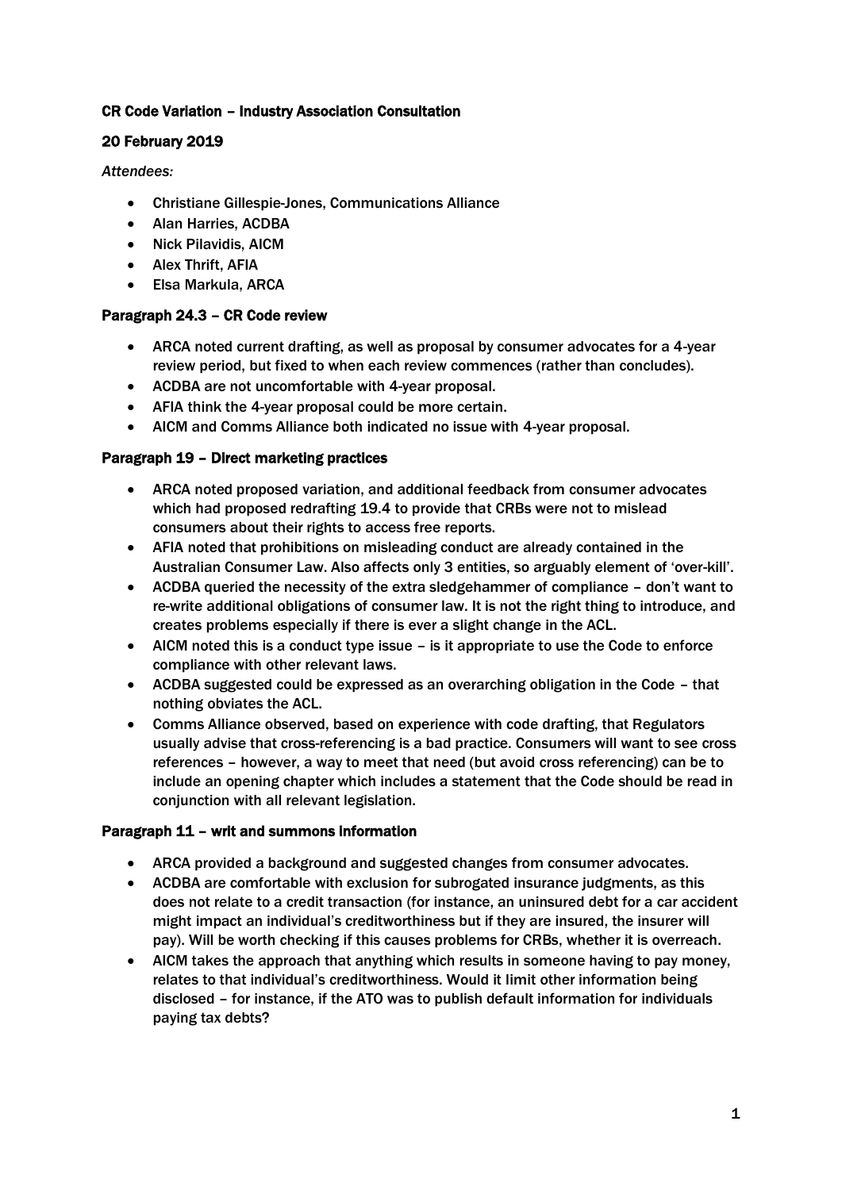# CR Code Variation – Industry Association Consultation

# 20 February 2019

*Attendees:*

- Christiane Gillespie-Jones, Communications Alliance
- Alan Harries, ACDBA
- Nick Pilavidis, AICM
- Alex Thrift, AFIA
- Elsa Markula, ARCA

# Paragraph 24.3 – CR Code review

- ARCA noted current drafting, as well as proposal by consumer advocates for a 4-year review period, but fixed to when each review commences (rather than concludes).
- ACDBA are not uncomfortable with 4-year proposal.
- AFIA think the 4-year proposal could be more certain.
- AICM and Comms Alliance both indicated no issue with 4-year proposal.

# Paragraph 19 – Direct marketing practices

- ARCA noted proposed variation, and additional feedback from consumer advocates which had proposed redrafting 19.4 to provide that CRBs were not to mislead consumers about their rights to access free reports.
- AFIA noted that prohibitions on misleading conduct are already contained in the Australian Consumer Law. Also affects only 3 entities, so arguably element of 'over-kill'.
- ACDBA queried the necessity of the extra sledgehammer of compliance don't want to re-write additional obligations of consumer law. It is not the right thing to introduce, and creates problems especially if there is ever a slight change in the ACL.
- AICM noted this is a conduct type issue is it appropriate to use the Code to enforce compliance with other relevant laws.
- ACDBA suggested could be expressed as an overarching obligation in the Code that nothing obviates the ACL.
- Comms Alliance observed, based on experience with code drafting, that Regulators usually advise that cross-referencing is a bad practice. Consumers will want to see cross references – however, a way to meet that need (but avoid cross referencing) can be to include an opening chapter which includes a statement that the Code should be read in conjunction with all relevant legislation.

#### Paragraph 11 – writ and summons information

- ARCA provided a background and suggested changes from consumer advocates.
- ACDBA are comfortable with exclusion for subrogated insurance judgments, as this does not relate to a credit transaction (for instance, an uninsured debt for a car accident might impact an individual's creditworthiness but if they are insured, the insurer will pay). Will be worth checking if this causes problems for CRBs, whether it is overreach.
- AICM takes the approach that anything which results in someone having to pay money, relates to that individual's creditworthiness. Would it limit other information being disclosed – for instance, if the ATO was to publish default information for individuals paying tax debts?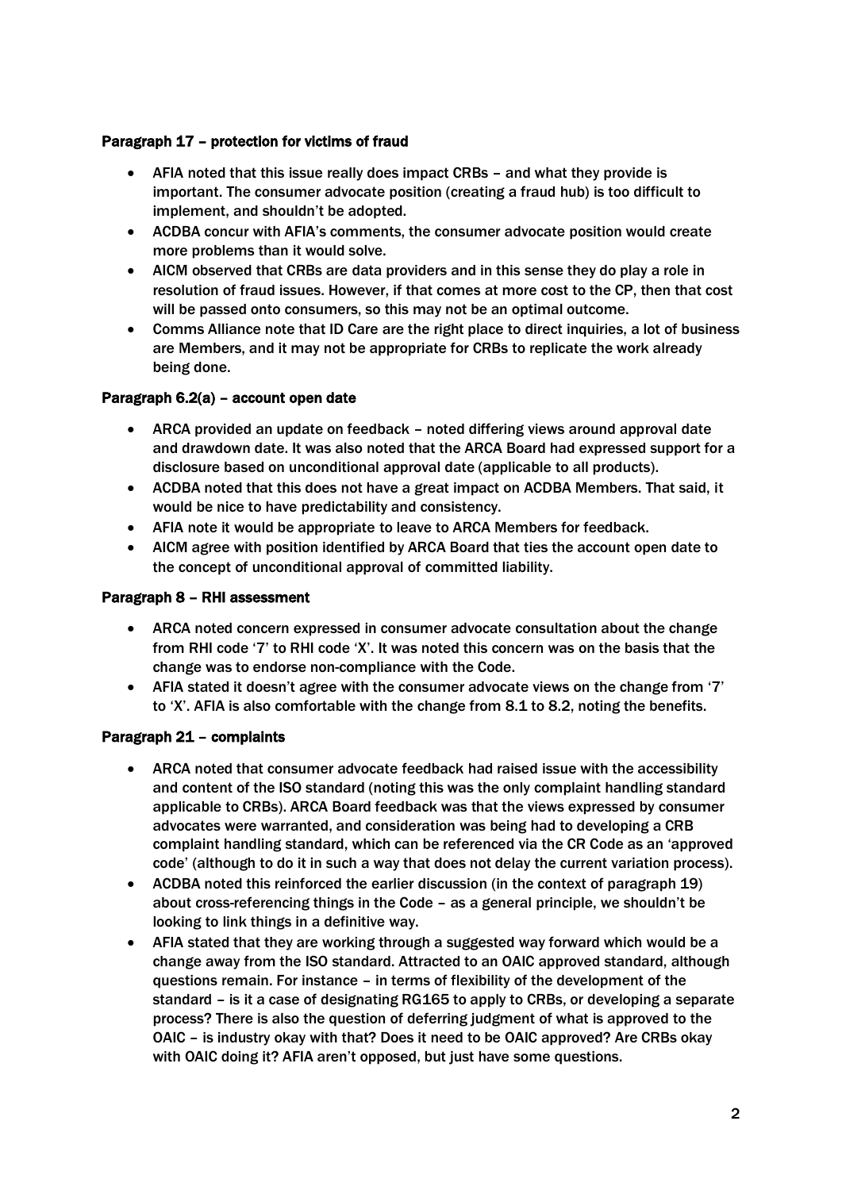# Paragraph 17 – protection for victims of fraud

- AFIA noted that this issue really does impact CRBs and what they provide is important. The consumer advocate position (creating a fraud hub) is too difficult to implement, and shouldn't be adopted.
- ACDBA concur with AFIA's comments, the consumer advocate position would create more problems than it would solve.
- AICM observed that CRBs are data providers and in this sense they do play a role in resolution of fraud issues. However, if that comes at more cost to the CP, then that cost will be passed onto consumers, so this may not be an optimal outcome.
- Comms Alliance note that ID Care are the right place to direct inquiries, a lot of business are Members, and it may not be appropriate for CRBs to replicate the work already being done.

#### Paragraph 6.2(a) – account open date

- ARCA provided an update on feedback noted differing views around approval date and drawdown date. It was also noted that the ARCA Board had expressed support for a disclosure based on unconditional approval date (applicable to all products).
- ACDBA noted that this does not have a great impact on ACDBA Members. That said, it would be nice to have predictability and consistency.
- AFIA note it would be appropriate to leave to ARCA Members for feedback.
- AICM agree with position identified by ARCA Board that ties the account open date to the concept of unconditional approval of committed liability.

#### Paragraph 8 – RHI assessment

- ARCA noted concern expressed in consumer advocate consultation about the change from RHI code '7' to RHI code 'X'. It was noted this concern was on the basis that the change was to endorse non-compliance with the Code.
- AFIA stated it doesn't agree with the consumer advocate views on the change from '7' to 'X'. AFIA is also comfortable with the change from 8.1 to 8.2, noting the benefits.

#### Paragraph 21 – complaints

- ARCA noted that consumer advocate feedback had raised issue with the accessibility and content of the ISO standard (noting this was the only complaint handling standard applicable to CRBs). ARCA Board feedback was that the views expressed by consumer advocates were warranted, and consideration was being had to developing a CRB complaint handling standard, which can be referenced via the CR Code as an 'approved code' (although to do it in such a way that does not delay the current variation process).
- ACDBA noted this reinforced the earlier discussion (in the context of paragraph 19) about cross-referencing things in the Code – as a general principle, we shouldn't be looking to link things in a definitive way.
- AFIA stated that they are working through a suggested way forward which would be a change away from the ISO standard. Attracted to an OAIC approved standard, although questions remain. For instance – in terms of flexibility of the development of the standard – is it a case of designating RG165 to apply to CRBs, or developing a separate process? There is also the question of deferring judgment of what is approved to the OAIC – is industry okay with that? Does it need to be OAIC approved? Are CRBs okay with OAIC doing it? AFIA aren't opposed, but just have some questions.